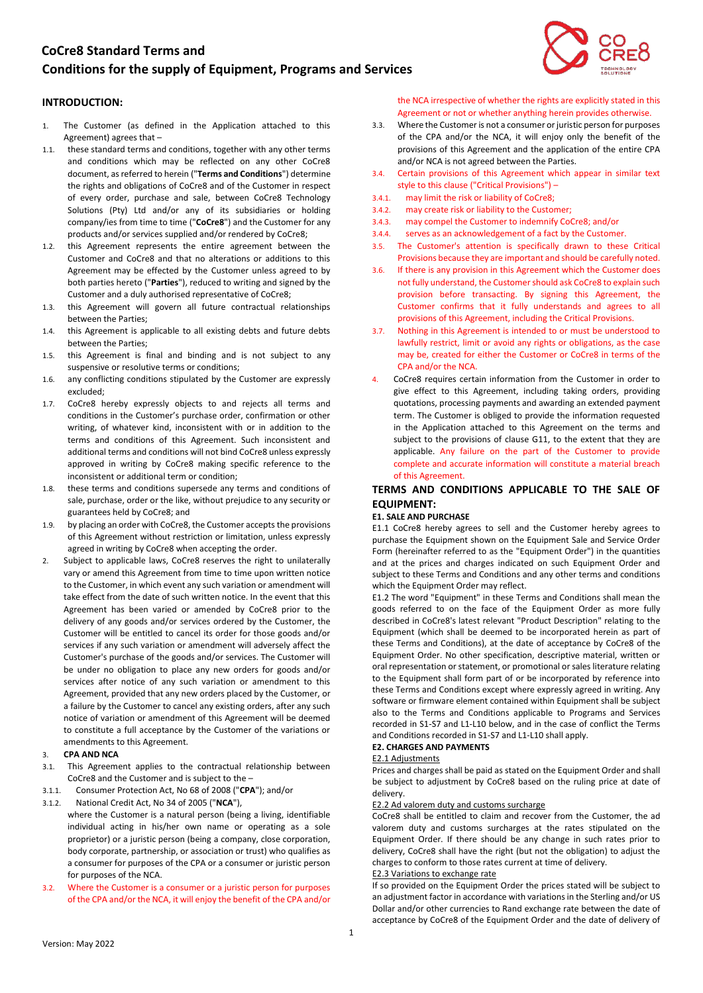# **CoCre8 Standard Terms and**

# **Conditions for the supply of Equipment, Programs and Services**

# **INTRODUCTION:**

- 1. The Customer (as defined in the Application attached to this Agreement) agrees that –
- 1.1. these standard terms and conditions, together with any other terms and conditions which may be reflected on any other CoCre8 document, as referred to herein ("**Terms and Conditions**") determine the rights and obligations of CoCre8 and of the Customer in respect of every order, purchase and sale, between CoCre8 Technology Solutions (Pty) Ltd and/or any of its subsidiaries or holding company/ies from time to time ("**CoCre8**") and the Customer for any products and/or services supplied and/or rendered by CoCre8;
- 1.2. this Agreement represents the entire agreement between the Customer and CoCre8 and that no alterations or additions to this Agreement may be effected by the Customer unless agreed to by both parties hereto ("**Parties**"), reduced to writing and signed by the Customer and a duly authorised representative of CoCre8;
- 1.3. this Agreement will govern all future contractual relationships between the Parties;
- 1.4. this Agreement is applicable to all existing debts and future debts between the Parties;
- 1.5. this Agreement is final and binding and is not subject to any suspensive or resolutive terms or conditions;
- 1.6. any conflicting conditions stipulated by the Customer are expressly excluded;
- 1.7. CoCre8 hereby expressly objects to and rejects all terms and conditions in the Customer's purchase order, confirmation or other writing, of whatever kind, inconsistent with or in addition to the terms and conditions of this Agreement. Such inconsistent and additional terms and conditions will not bind CoCre8 unless expressly approved in writing by CoCre8 making specific reference to the inconsistent or additional term or condition;
- 1.8. these terms and conditions supersede any terms and conditions of sale, purchase, order or the like, without prejudice to any security or guarantees held by CoCre8; and
- 1.9. by placing an order with CoCre8, the Customer accepts the provisions of this Agreement without restriction or limitation, unless expressly agreed in writing by CoCre8 when accepting the order.
- 2. Subject to applicable laws, CoCre8 reserves the right to unilaterally vary or amend this Agreement from time to time upon written notice to the Customer, in which event any such variation or amendment will take effect from the date of such written notice. In the event that this Agreement has been varied or amended by CoCre8 prior to the delivery of any goods and/or services ordered by the Customer, the Customer will be entitled to cancel its order for those goods and/or services if any such variation or amendment will adversely affect the Customer's purchase of the goods and/or services. The Customer will be under no obligation to place any new orders for goods and/or services after notice of any such variation or amendment to this Agreement, provided that any new orders placed by the Customer, or a failure by the Customer to cancel any existing orders, after any such notice of variation or amendment of this Agreement will be deemed to constitute a full acceptance by the Customer of the variations or amendments to this Agreement.

#### 3. **CPA AND NCA**

- 3.1. This Agreement applies to the contractual relationship between CoCre8 and the Customer and is subject to the –
- 3.1.1. Consumer Protection Act, No 68 of 2008 ("**CPA**"); and/or
- 3.1.2. National Credit Act, No 34 of 2005 ("**NCA**"), where the Customer is a natural person (being a living, identifiable individual acting in his/her own name or operating as a sole proprietor) or a juristic person (being a company, close corporation, body corporate, partnership, or association or trust) who qualifies as a consumer for purposes of the CPA or a consumer or juristic person for purposes of the NCA.
- 3.2. Where the Customer is a consumer or a juristic person for purposes of the CPA and/or the NCA, it will enjoy the benefit of the CPA and/or

the NCA irrespective of whether the rights are explicitly stated in this Agreement or not or whether anything herein provides otherwise.

- 3.3. Where the Customer is not a consumer or juristic person for purposes of the CPA and/or the NCA, it will enjoy only the benefit of the provisions of this Agreement and the application of the entire CPA and/or NCA is not agreed between the Parties.
- 3.4. Certain provisions of this Agreement which appear in similar text style to this clause ("Critical Provisions") –
- 3.4.1. may limit the risk or liability of CoCre8;
- 3.4.2. may create risk or liability to the Customer;
- 3.4.3. may compel the Customer to indemnify CoCre8; and/or
- 3.4.4. serves as an acknowledgement of a fact by the Customer.
- 3.5. The Customer's attention is specifically drawn to these Critical Provisions because they are important and should be carefully noted.
- 3.6. If there is any provision in this Agreement which the Customer does not fully understand, the Customer should ask CoCre8 to explain such provision before transacting. By signing this Agreement, the Customer confirms that it fully understands and agrees to all provisions of this Agreement, including the Critical Provisions.
- 3.7. Nothing in this Agreement is intended to or must be understood to lawfully restrict, limit or avoid any rights or obligations, as the case may be, created for either the Customer or CoCre8 in terms of the CPA and/or the NCA.
- 4. CoCre8 requires certain information from the Customer in order to give effect to this Agreement, including taking orders, providing quotations, processing payments and awarding an extended payment term. The Customer is obliged to provide the information requested in the Application attached to this Agreement on the terms and subject to the provisions of clause G11, to the extent that they are applicable. Any failure on the part of the Customer to provide complete and accurate information will constitute a material breach of this Agreement.

# **TERMS AND CONDITIONS APPLICABLE TO THE SALE OF EQUIPMENT:**

# **E1. SALE AND PURCHASE**

E1.1 CoCre8 hereby agrees to sell and the Customer hereby agrees to purchase the Equipment shown on the Equipment Sale and Service Order Form (hereinafter referred to as the "Equipment Order") in the quantities and at the prices and charges indicated on such Equipment Order and subject to these Terms and Conditions and any other terms and conditions which the Equipment Order may reflect.

E1.2 The word "Equipment" in these Terms and Conditions shall mean the goods referred to on the face of the Equipment Order as more fully described in CoCre8's latest relevant "Product Description" relating to the Equipment (which shall be deemed to be incorporated herein as part of these Terms and Conditions), at the date of acceptance by CoCre8 of the Equipment Order. No other specification, descriptive material, written or oral representation or statement, or promotional or sales literature relating to the Equipment shall form part of or be incorporated by reference into these Terms and Conditions except where expressly agreed in writing. Any software or firmware element contained within Equipment shall be subject also to the Terms and Conditions applicable to Programs and Services recorded in S1-S7 and L1-L10 below, and in the case of conflict the Terms and Conditions recorded in S1-S7 and L1-L10 shall apply.

#### **E2. CHARGES AND PAYMENTS**

#### E2.1 Adjustments

Prices and charges shall be paid as stated on the Equipment Order and shall be subject to adjustment by CoCre8 based on the ruling price at date of delivery.

#### E2.2 Ad valorem duty and customs surcharge

CoCre8 shall be entitled to claim and recover from the Customer, the ad valorem duty and customs surcharges at the rates stipulated on the Equipment Order. If there should be any change in such rates prior to delivery, CoCre8 shall have the right (but not the obligation) to adjust the charges to conform to those rates current at time of delivery.

## E2.3 Variations to exchange rate

If so provided on the Equipment Order the prices stated will be subject to an adjustment factor in accordance with variations in the Sterling and/or US Dollar and/or other currencies to Rand exchange rate between the date of acceptance by CoCre8 of the Equipment Order and the date of delivery of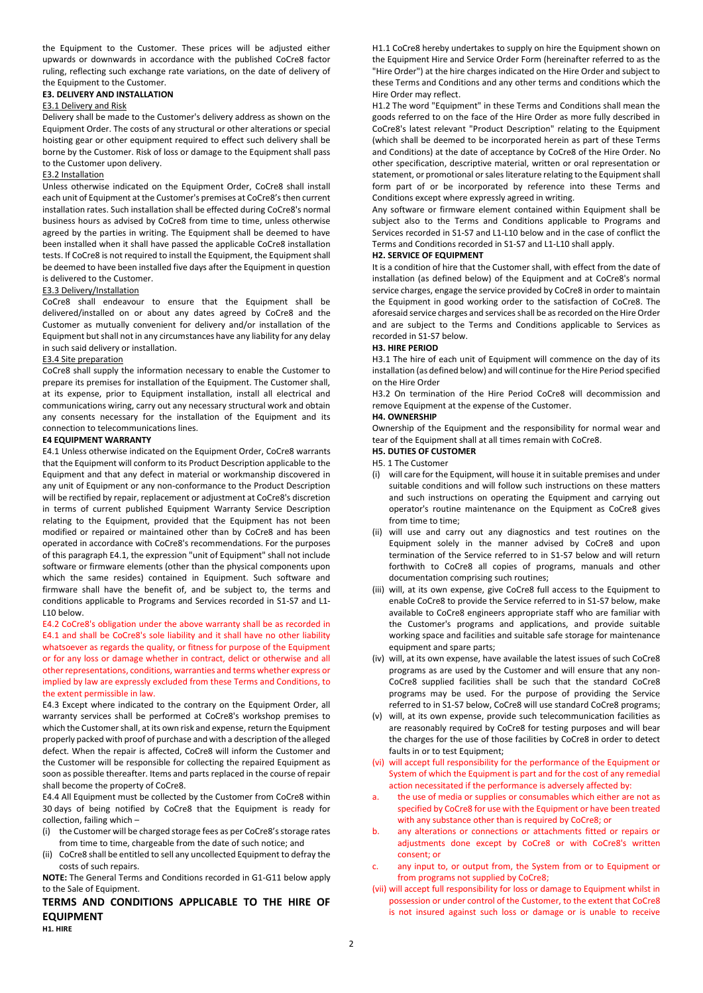the Equipment to the Customer. These prices will be adjusted either upwards or downwards in accordance with the published CoCre8 factor ruling, reflecting such exchange rate variations, on the date of delivery of the Equipment to the Customer.

# **E3. DELIVERY AND INSTALLATION**

#### E3.1 Delivery and Risk

Delivery shall be made to the Customer's delivery address as shown on the Equipment Order. The costs of any structural or other alterations or special hoisting gear or other equipment required to effect such delivery shall be borne by the Customer. Risk of loss or damage to the Equipment shall pass to the Customer upon delivery.

## E3.2 Installation

Unless otherwise indicated on the Equipment Order, CoCre8 shall install each unit of Equipment at the Customer's premises at CoCre8's then current installation rates. Such installation shall be effected during CoCre8's normal business hours as advised by CoCre8 from time to time, unless otherwise agreed by the parties in writing. The Equipment shall be deemed to have been installed when it shall have passed the applicable CoCre8 installation tests. If CoCre8 is not required to install the Equipment, the Equipment shall be deemed to have been installed five days after the Equipment in question is delivered to the Customer.

#### E3.3 Delivery/Installation

CoCre8 shall endeavour to ensure that the Equipment shall be delivered/installed on or about any dates agreed by CoCre8 and the Customer as mutually convenient for delivery and/or installation of the Equipment but shall not in any circumstances have any liability for any delay in such said delivery or installation.

#### E3.4 Site preparation

CoCre8 shall supply the information necessary to enable the Customer to prepare its premises for installation of the Equipment. The Customer shall, at its expense, prior to Equipment installation, install all electrical and communications wiring, carry out any necessary structural work and obtain any consents necessary for the installation of the Equipment and its connection to telecommunications lines.

#### **E4 EQUIPMENT WARRANTY**

E4.1 Unless otherwise indicated on the Equipment Order, CoCre8 warrants that the Equipment will conform to its Product Description applicable to the Equipment and that any defect in material or workmanship discovered in any unit of Equipment or any non-conformance to the Product Description will be rectified by repair, replacement or adjustment at CoCre8's discretion in terms of current published Equipment Warranty Service Description relating to the Equipment, provided that the Equipment has not been modified or repaired or maintained other than by CoCre8 and has been operated in accordance with CoCre8's recommendations. For the purposes of this paragraph E4.1, the expression "unit of Equipment" shall not include software or firmware elements (other than the physical components upon which the same resides) contained in Equipment. Such software and firmware shall have the benefit of, and be subject to, the terms and conditions applicable to Programs and Services recorded in S1-S7 and L1- L10 below.

E4.2 CoCre8's obligation under the above warranty shall be as recorded in E4.1 and shall be CoCre8's sole liability and it shall have no other liability whatsoever as regards the quality, or fitness for purpose of the Equipment or for any loss or damage whether in contract, delict or otherwise and all other representations, conditions, warranties and terms whether express or implied by law are expressly excluded from these Terms and Conditions, to the extent permissible in law.

E4.3 Except where indicated to the contrary on the Equipment Order, all warranty services shall be performed at CoCre8's workshop premises to which the Customer shall, at its own risk and expense, return the Equipment properly packed with proof of purchase and with a description of the alleged defect. When the repair is affected, CoCre8 will inform the Customer and the Customer will be responsible for collecting the repaired Equipment as soon as possible thereafter. Items and parts replaced in the course of repair shall become the property of CoCre8.

E4.4 All Equipment must be collected by the Customer from CoCre8 within 30 days of being notified by CoCre8 that the Equipment is ready for collection, failing which –

- (i) the Customer will be charged storage fees as per CoCre8's storage rates from time to time, chargeable from the date of such notice; and
- (ii) CoCre8 shall be entitled to sell any uncollected Equipment to defray the costs of such repairs.

**NOTE:** The General Terms and Conditions recorded in G1-G11 below apply to the Sale of Equipment.

**TERMS AND CONDITIONS APPLICABLE TO THE HIRE OF EQUIPMENT** 

**H1. HIRE** 

H1.1 CoCre8 hereby undertakes to supply on hire the Equipment shown on the Equipment Hire and Service Order Form (hereinafter referred to as the "Hire Order") at the hire charges indicated on the Hire Order and subject to these Terms and Conditions and any other terms and conditions which the Hire Order may reflect.

H1.2 The word "Equipment" in these Terms and Conditions shall mean the goods referred to on the face of the Hire Order as more fully described in CoCre8's latest relevant "Product Description" relating to the Equipment (which shall be deemed to be incorporated herein as part of these Terms and Conditions) at the date of acceptance by CoCre8 of the Hire Order. No other specification, descriptive material, written or oral representation or statement, or promotional or sales literature relating to the Equipment shall form part of or be incorporated by reference into these Terms and Conditions except where expressly agreed in writing.

Any software or firmware element contained within Equipment shall be subject also to the Terms and Conditions applicable to Programs and Services recorded in S1-S7 and L1-L10 below and in the case of conflict the Terms and Conditions recorded in S1-S7 and L1-L10 shall apply.

#### **H2. SERVICE OF EQUIPMENT**

It is a condition of hire that the Customer shall, with effect from the date of installation (as defined below) of the Equipment and at CoCre8's normal service charges, engage the service provided by CoCre8 in order to maintain the Equipment in good working order to the satisfaction of CoCre8. The aforesaid service charges and services shall be as recorded on the Hire Order and are subject to the Terms and Conditions applicable to Services as recorded in S1-S7 below.

#### **H3. HIRE PERIOD**

H3.1 The hire of each unit of Equipment will commence on the day of its installation (as defined below) and will continue for the Hire Period specified on the Hire Order

H3.2 On termination of the Hire Period CoCre8 will decommission and remove Equipment at the expense of the Customer.

#### **H4. OWNERSHIP**

Ownership of the Equipment and the responsibility for normal wear and tear of the Equipment shall at all times remain with CoCre8.

# **H5. DUTIES OF CUSTOMER**

- H5. 1 The Customer
- (i) will care for the Equipment, will house it in suitable premises and under suitable conditions and will follow such instructions on these matters and such instructions on operating the Equipment and carrying out operator's routine maintenance on the Equipment as CoCre8 gives from time to time;
- (ii) will use and carry out any diagnostics and test routines on the Equipment solely in the manner advised by CoCre8 and upon termination of the Service referred to in S1-S7 below and will return forthwith to CoCre8 all copies of programs, manuals and other documentation comprising such routines;
- (iii) will, at its own expense, give CoCre8 full access to the Equipment to enable CoCre8 to provide the Service referred to in S1-S7 below, make available to CoCre8 engineers appropriate staff who are familiar with the Customer's programs and applications, and provide suitable working space and facilities and suitable safe storage for maintenance equipment and spare parts;
- (iv) will, at its own expense, have available the latest issues of such CoCre8 programs as are used by the Customer and will ensure that any non-CoCre8 supplied facilities shall be such that the standard CoCre8 programs may be used. For the purpose of providing the Service referred to in S1-S7 below, CoCre8 will use standard CoCre8 programs;
- (v) will, at its own expense, provide such telecommunication facilities as are reasonably required by CoCre8 for testing purposes and will bear the charges for the use of those facilities by CoCre8 in order to detect faults in or to test Equipment;
- (vi) will accept full responsibility for the performance of the Equipment or System of which the Equipment is part and for the cost of any remedial action necessitated if the performance is adversely affected by:
- the use of media or supplies or consumables which either are not as specified by CoCre8 for use with the Equipment or have been treated with any substance other than is required by CoCre8; or
- b. any alterations or connections or attachments fitted or repairs or adjustments done except by CoCre8 or with CoCre8's written consent; or
- any input to, or output from, the System from or to Equipment or from programs not supplied by CoCre8;
- (vii) will accept full responsibility for loss or damage to Equipment whilst in possession or under control of the Customer, to the extent that CoCre8 is not insured against such loss or damage or is unable to receive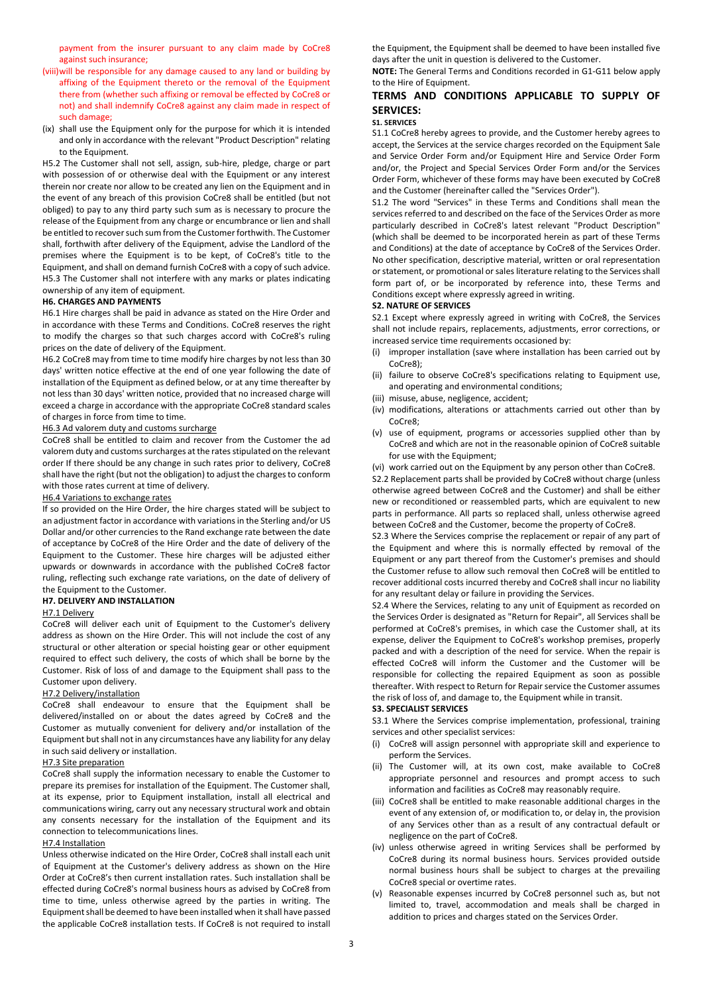payment from the insurer pursuant to any claim made by CoCre8 against such insurance;

- (viii)will be responsible for any damage caused to any land or building by affixing of the Equipment thereto or the removal of the Equipment there from (whether such affixing or removal be effected by CoCre8 or not) and shall indemnify CoCre8 against any claim made in respect of such damage;
- (ix) shall use the Equipment only for the purpose for which it is intended and only in accordance with the relevant "Product Description" relating to the Equipment.

H5.2 The Customer shall not sell, assign, sub-hire, pledge, charge or part with possession of or otherwise deal with the Equipment or any interest therein nor create nor allow to be created any lien on the Equipment and in the event of any breach of this provision CoCre8 shall be entitled (but not obliged) to pay to any third party such sum as is necessary to procure the release of the Equipment from any charge or encumbrance or lien and shall be entitled to recover such sum from the Customer forthwith. The Customer shall, forthwith after delivery of the Equipment, advise the Landlord of the premises where the Equipment is to be kept, of CoCre8's title to the Equipment, and shall on demand furnish CoCre8 with a copy of such advice. H5.3 The Customer shall not interfere with any marks or plates indicating ownership of any item of equipment.

# **H6. CHARGES AND PAYMENTS**

H6.1 Hire charges shall be paid in advance as stated on the Hire Order and in accordance with these Terms and Conditions. CoCre8 reserves the right to modify the charges so that such charges accord with CoCre8's ruling prices on the date of delivery of the Equipment.

H6.2 CoCre8 may from time to time modify hire charges by not less than 30 days' written notice effective at the end of one year following the date of installation of the Equipment as defined below, or at any time thereafter by not less than 30 days' written notice, provided that no increased charge will exceed a charge in accordance with the appropriate CoCre8 standard scales of charges in force from time to time.

#### H6.3 Ad valorem duty and customs surcharge

CoCre8 shall be entitled to claim and recover from the Customer the ad valorem duty and customs surcharges at the rates stipulated on the relevant order If there should be any change in such rates prior to delivery, CoCre8 shall have the right (but not the obligation) to adjust the charges to conform with those rates current at time of delivery.

#### H6.4 Variations to exchange rates

If so provided on the Hire Order, the hire charges stated will be subject to an adjustment factor in accordance with variations in the Sterling and/or US Dollar and/or other currencies to the Rand exchange rate between the date of acceptance by CoCre8 of the Hire Order and the date of delivery of the Equipment to the Customer. These hire charges will be adjusted either upwards or downwards in accordance with the published CoCre8 factor ruling, reflecting such exchange rate variations, on the date of delivery of the Equipment to the Customer.

#### **H7. DELIVERY AND INSTALLATION**

### H7.1 Delivery

CoCre8 will deliver each unit of Equipment to the Customer's delivery address as shown on the Hire Order. This will not include the cost of any structural or other alteration or special hoisting gear or other equipment required to effect such delivery, the costs of which shall be borne by the Customer. Risk of loss of and damage to the Equipment shall pass to the Customer upon delivery.

#### H7.2 Delivery/installation

CoCre8 shall endeavour to ensure that the Equipment shall be delivered/installed on or about the dates agreed by CoCre8 and the Customer as mutually convenient for delivery and/or installation of the Equipment but shall not in any circumstances have any liability for any delay in such said delivery or installation.

#### H7.3 Site preparation

CoCre8 shall supply the information necessary to enable the Customer to prepare its premises for installation of the Equipment. The Customer shall, at its expense, prior to Equipment installation, install all electrical and communications wiring, carry out any necessary structural work and obtain any consents necessary for the installation of the Equipment and its connection to telecommunications lines.

#### H7.4 Installation

Unless otherwise indicated on the Hire Order, CoCre8 shall install each unit of Equipment at the Customer's delivery address as shown on the Hire Order at CoCre8's then current installation rates. Such installation shall be effected during CoCre8's normal business hours as advised by CoCre8 from time to time, unless otherwise agreed by the parties in writing. The Equipment shall be deemed to have been installed when it shall have passed the applicable CoCre8 installation tests. If CoCre8 is not required to install

the Equipment, the Equipment shall be deemed to have been installed five days after the unit in question is delivered to the Customer.

**NOTE:** The General Terms and Conditions recorded in G1-G11 below apply to the Hire of Equipment.

# **TERMS AND CONDITIONS APPLICABLE TO SUPPLY OF SERVICES:**

#### **S1. SERVICES**

S1.1 CoCre8 hereby agrees to provide, and the Customer hereby agrees to accept, the Services at the service charges recorded on the Equipment Sale and Service Order Form and/or Equipment Hire and Service Order Form and/or, the Project and Special Services Order Form and/or the Services Order Form, whichever of these forms may have been executed by CoCre8 and the Customer (hereinafter called the "Services Order").

S1.2 The word "Services" in these Terms and Conditions shall mean the services referred to and described on the face of the Services Order as more particularly described in CoCre8's latest relevant "Product Description" (which shall be deemed to be incorporated herein as part of these Terms and Conditions) at the date of acceptance by CoCre8 of the Services Order. No other specification, descriptive material, written or oral representation or statement, or promotional or sales literature relating to the Services shall form part of, or be incorporated by reference into, these Terms and Conditions except where expressly agreed in writing.

#### **S2. NATURE OF SERVICES**

S2.1 Except where expressly agreed in writing with CoCre8, the Services shall not include repairs, replacements, adjustments, error corrections, or increased service time requirements occasioned by:

- (i) improper installation (save where installation has been carried out by CoCre8);
- (ii) failure to observe CoCre8's specifications relating to Equipment use, and operating and environmental conditions;
- (iii) misuse, abuse, negligence, accident;
- (iv) modifications, alterations or attachments carried out other than by CoCre8;
- (v) use of equipment, programs or accessories supplied other than by CoCre8 and which are not in the reasonable opinion of CoCre8 suitable for use with the Equipment;
- (vi) work carried out on the Equipment by any person other than CoCre8.

S2.2 Replacement parts shall be provided by CoCre8 without charge (unless otherwise agreed between CoCre8 and the Customer) and shall be either new or reconditioned or reassembled parts, which are equivalent to new parts in performance. All parts so replaced shall, unless otherwise agreed between CoCre8 and the Customer, become the property of CoCre8.

S2.3 Where the Services comprise the replacement or repair of any part of the Equipment and where this is normally effected by removal of the Equipment or any part thereof from the Customer's premises and should the Customer refuse to allow such removal then CoCre8 will be entitled to recover additional costs incurred thereby and CoCre8 shall incur no liability for any resultant delay or failure in providing the Services.

S2.4 Where the Services, relating to any unit of Equipment as recorded on the Services Order is designated as "Return for Repair", all Services shall be performed at CoCre8's premises, in which case the Customer shall, at its expense, deliver the Equipment to CoCre8's workshop premises, properly packed and with a description of the need for service. When the repair is effected CoCre8 will inform the Customer and the Customer will be responsible for collecting the repaired Equipment as soon as possible thereafter. With respect to Return for Repair service the Customer assumes the risk of loss of, and damage to, the Equipment while in transit.

#### **S3. SPECIALIST SERVICES**

S3.1 Where the Services comprise implementation, professional, training services and other specialist services:

- (i) CoCre8 will assign personnel with appropriate skill and experience to perform the Services.
- (ii) The Customer will, at its own cost, make available to CoCre8 appropriate personnel and resources and prompt access to such information and facilities as CoCre8 may reasonably require.
- (iii) CoCre8 shall be entitled to make reasonable additional charges in the event of any extension of, or modification to, or delay in, the provision of any Services other than as a result of any contractual default or negligence on the part of CoCre8.
- (iv) unless otherwise agreed in writing Services shall be performed by CoCre8 during its normal business hours. Services provided outside normal business hours shall be subject to charges at the prevailing CoCre8 special or overtime rates.
- (v) Reasonable expenses incurred by CoCre8 personnel such as, but not limited to, travel, accommodation and meals shall be charged in addition to prices and charges stated on the Services Order.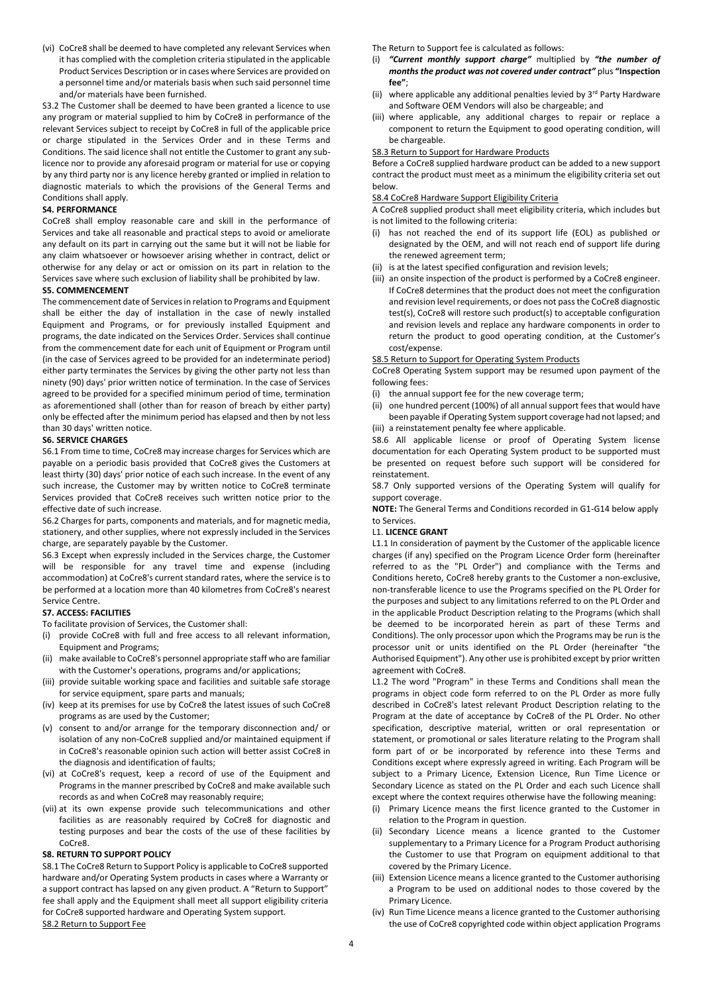(vi) CoCre8 shall be deemed to have completed any relevant Services when it has complied with the completion criteria stipulated in the applicable Product Services Description or in cases where Services are provided on a personnel time and/or materials basis when such said personnel time and/or materials have been furnished.

S3.2 The Customer shall be deemed to have been granted a licence to use any program or material supplied to him by CoCre8 in performance of the relevant Services subject to receipt by CoCre8 in full of the applicable price or charge stipulated in the Services Order and in these Terms and Conditions. The said licence shall not entitle the Customer to grant any sublicence nor to provide any aforesaid program or material for use or copying by any third party nor is any licence hereby granted or implied in relation to diagnostic materials to which the provisions of the General Terms and Conditions shall apply.

#### **S4. PERFORMANCE**

CoCre8 shall employ reasonable care and skill in the performance of Services and take all reasonable and practical steps to avoid or ameliorate any default on its part in carrying out the same but it will not be liable for any claim whatsoever or howsoever arising whether in contract, delict or otherwise for any delay or act or omission on its part in relation to the Services save where such exclusion of liability shall be prohibited by law. **S5. COMMENCEMENT** 

The commencement date of Services in relation to Programs and Equipment shall be either the day of installation in the case of newly installed Equipment and Programs, or for previously installed Equipment and programs, the date indicated on the Services Order. Services shall continue from the commencement date for each unit of Equipment or Program until (in the case of Services agreed to be provided for an indeterminate period) either party terminates the Services by giving the other party not less than ninety (90) days' prior written notice of termination. In the case of Services agreed to be provided for a specified minimum period of time, termination as aforementioned shall (other than for reason of breach by either party) only be effected after the minimum period has elapsed and then by not less than 30 days' written notice.

#### **S6. SERVICE CHARGES**

S6.1 From time to time, CoCre8 may increase charges for Services which are payable on a periodic basis provided that CoCre8 gives the Customers at least thirty (30) days' prior notice of each such increase. In the event of any such increase, the Customer may by written notice to CoCre8 terminate Services provided that CoCre8 receives such written notice prior to the effective date of such increase.

S6.2 Charges for parts, components and materials, and for magnetic media, stationery, and other supplies, where not expressly included in the Services charge, are separately payable by the Customer.

S6.3 Except when expressly included in the Services charge, the Customer will be responsible for any travel time and expense (including accommodation) at CoCre8's current standard rates, where the service is to be performed at a location more than 40 kilometres from CoCre8's nearest Service Centre.

#### **S7. ACCESS: FACILITIES**

- To facilitate provision of Services, the Customer shall:
- (i) provide CoCre8 with full and free access to all relevant information, Equipment and Programs;
- (ii) make available to CoCre8's personnel appropriate staff who are familiar with the Customer's operations, programs and/or applications;
- (iii) provide suitable working space and facilities and suitable safe storage for service equipment, spare parts and manuals;
- (iv) keep at its premises for use by CoCre8 the latest issues of such CoCre8 programs as are used by the Customer;
- (v) consent to and/or arrange for the temporary disconnection and/ or isolation of any non-CoCre8 supplied and/or maintained equipment if in CoCre8's reasonable opinion such action will better assist CoCre8 in the diagnosis and identification of faults;
- (vi) at CoCre8's request, keep a record of use of the Equipment and Programs in the manner prescribed by CoCre8 and make available such records as and when CoCre8 may reasonably require;
- (vii) at its own expense provide such telecommunications and other facilities as are reasonably required by CoCre8 for diagnostic and testing purposes and bear the costs of the use of these facilities by CoCre8.

#### **S8. RETURN TO SUPPORT POLICY**

S8.1 The CoCre8 Return to Support Policy is applicable to CoCre8 supported hardware and/or Operating System products in cases where a Warranty or a support contract has lapsed on any given product. A "Return to Support" fee shall apply and the Equipment shall meet all support eligibility criteria for CoCre8 supported hardware and Operating System support. S8.2 Return to Support Fee

The Return to Support fee is calculated as follows:

- (i) *"Current monthly support charge"* multiplied by *"the number of months the product was not covered under contract"* plus **"Inspection fee"**;
- (ii) where applicable any additional penalties levied by  $3<sup>rd</sup>$  Party Hardware and Software OEM Vendors will also be chargeable; and
- (iii) where applicable, any additional charges to repair or replace a component to return the Equipment to good operating condition, will be chargeable.

S8.3 Return to Support for Hardware Products

Before a CoCre8 supplied hardware product can be added to a new support contract the product must meet as a minimum the eligibility criteria set out below.

S8.4 CoCre8 Hardware Support Eligibility Criteria

A CoCre8 supplied product shall meet eligibility criteria, which includes but is not limited to the following criteria:

- (i) has not reached the end of its support life (EOL) as published or designated by the OEM, and will not reach end of support life during the renewed agreement term;
- (ii) is at the latest specified configuration and revision levels;
- (iii) an onsite inspection of the product is performed by a CoCre8 engineer. If CoCre8 determines that the product does not meet the configuration and revision level requirements, or does not pass the CoCre8 diagnostic test(s), CoCre8 will restore such product(s) to acceptable configuration and revision levels and replace any hardware components in order to return the product to good operating condition, at the Customer's cost/expense.

#### S8.5 Return to Support for Operating System Products

CoCre8 Operating System support may be resumed upon payment of the following fees:

- (i) the annual support fee for the new coverage term;
- (ii) one hundred percent (100%) of all annual support fees that would have been payable if Operating System support coverage had not lapsed; and (iii) a reinstatement penalty fee where applicable.

S8.6 All applicable license or proof of Operating System license documentation for each Operating System product to be supported must be presented on request before such support will be considered for reinstatement.

S8.7 Only supported versions of the Operating System will qualify for support coverage.

**NOTE:** The General Terms and Conditions recorded in G1-G14 below apply to Services.

#### L1. **LICENCE GRANT**

L1.1 In consideration of payment by the Customer of the applicable licence charges (if any) specified on the Program Licence Order form (hereinafter referred to as the "PL Order") and compliance with the Terms and Conditions hereto, CoCre8 hereby grants to the Customer a non-exclusive, non-transferable licence to use the Programs specified on the PL Order for the purposes and subject to any limitations referred to on the PL Order and in the applicable Product Description relating to the Programs (which shall be deemed to be incorporated herein as part of these Terms and Conditions). The only processor upon which the Programs may be run is the processor unit or units identified on the PL Order (hereinafter "the Authorised Equipment"). Any other use is prohibited except by prior written agreement with CoCre8.

L1.2 The word "Program" in these Terms and Conditions shall mean the programs in object code form referred to on the PL Order as more fully described in CoCre8's latest relevant Product Description relating to the Program at the date of acceptance by CoCre8 of the PL Order. No other specification, descriptive material, written or oral representation or statement, or promotional or sales literature relating to the Program shall form part of or be incorporated by reference into these Terms and Conditions except where expressly agreed in writing. Each Program will be subject to a Primary Licence, Extension Licence, Run Time Licence or Secondary Licence as stated on the PL Order and each such Licence shall except where the context requires otherwise have the following meaning:

- (i) Primary Licence means the first licence granted to the Customer in relation to the Program in question.
- (ii) Secondary Licence means a licence granted to the Customer supplementary to a Primary Licence for a Program Product authorising the Customer to use that Program on equipment additional to that covered by the Primary Licence.
- (iii) Extension Licence means a licence granted to the Customer authorising a Program to be used on additional nodes to those covered by the Primary Licence.
- (iv) Run Time Licence means a licence granted to the Customer authorising the use of CoCre8 copyrighted code within object application Programs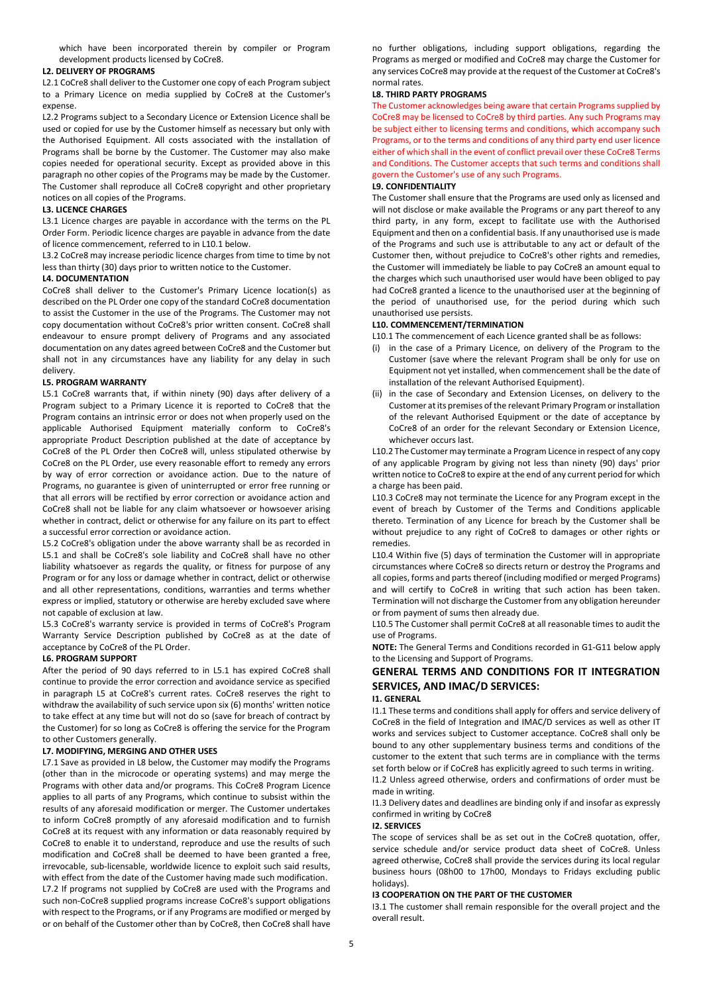which have been incorporated therein by compiler or Program development products licensed by CoCre8.

#### **L2. DELIVERY OF PROGRAMS**

L2.1 CoCre8 shall deliver to the Customer one copy of each Program subject to a Primary Licence on media supplied by CoCre8 at the Customer's expense.

L2.2 Programs subject to a Secondary Licence or Extension Licence shall be used or copied for use by the Customer himself as necessary but only with the Authorised Equipment. All costs associated with the installation of Programs shall be borne by the Customer. The Customer may also make copies needed for operational security. Except as provided above in this paragraph no other copies of the Programs may be made by the Customer. The Customer shall reproduce all CoCre8 copyright and other proprietary notices on all copies of the Programs.

#### **L3. LICENCE CHARGES**

L3.1 Licence charges are payable in accordance with the terms on the PL Order Form. Periodic licence charges are payable in advance from the date of licence commencement, referred to in L10.1 below.

L3.2 CoCre8 may increase periodic licence charges from time to time by not less than thirty (30) days prior to written notice to the Customer.

#### **L4. DOCUMENTATION**

CoCre8 shall deliver to the Customer's Primary Licence location(s) as described on the PL Order one copy of the standard CoCre8 documentation to assist the Customer in the use of the Programs. The Customer may not copy documentation without CoCre8's prior written consent. CoCre8 shall endeavour to ensure prompt delivery of Programs and any associated documentation on any dates agreed between CoCre8 and the Customer but shall not in any circumstances have any liability for any delay in such delivery.

#### **L5. PROGRAM WARRANTY**

L5.1 CoCre8 warrants that, if within ninety (90) days after delivery of a Program subject to a Primary Licence it is reported to CoCre8 that the Program contains an intrinsic error or does not when properly used on the applicable Authorised Equipment materially conform to CoCre8's appropriate Product Description published at the date of acceptance by CoCre8 of the PL Order then CoCre8 will, unless stipulated otherwise by CoCre8 on the PL Order, use every reasonable effort to remedy any errors by way of error correction or avoidance action. Due to the nature of Programs, no guarantee is given of uninterrupted or error free running or that all errors will be rectified by error correction or avoidance action and CoCre8 shall not be liable for any claim whatsoever or howsoever arising whether in contract, delict or otherwise for any failure on its part to effect a successful error correction or avoidance action.

L5.2 CoCre8's obligation under the above warranty shall be as recorded in L5.1 and shall be CoCre8's sole liability and CoCre8 shall have no other liability whatsoever as regards the quality, or fitness for purpose of any Program or for any loss or damage whether in contract, delict or otherwise and all other representations, conditions, warranties and terms whether express or implied, statutory or otherwise are hereby excluded save where not capable of exclusion at law.

L5.3 CoCre8's warranty service is provided in terms of CoCre8's Program Warranty Service Description published by CoCre8 as at the date of acceptance by CoCre8 of the PL Order.

#### **L6. PROGRAM SUPPORT**

After the period of 90 days referred to in L5.1 has expired CoCre8 shall continue to provide the error correction and avoidance service as specified in paragraph L5 at CoCre8's current rates. CoCre8 reserves the right to withdraw the availability of such service upon six (6) months' written notice to take effect at any time but will not do so (save for breach of contract by the Customer) for so long as CoCre8 is offering the service for the Program to other Customers generally.

#### **L7. MODIFYING, MERGING AND OTHER USES**

L7.1 Save as provided in L8 below, the Customer may modify the Programs (other than in the microcode or operating systems) and may merge the Programs with other data and/or programs. This CoCre8 Program Licence applies to all parts of any Programs, which continue to subsist within the results of any aforesaid modification or merger. The Customer undertakes to inform CoCre8 promptly of any aforesaid modification and to furnish CoCre8 at its request with any information or data reasonably required by CoCre8 to enable it to understand, reproduce and use the results of such modification and CoCre8 shall be deemed to have been granted a free, irrevocable, sub-licensable, worldwide licence to exploit such said results, with effect from the date of the Customer having made such modification. L7.2 If programs not supplied by CoCre8 are used with the Programs and such non-CoCre8 supplied programs increase CoCre8's support obligations with respect to the Programs, or if any Programs are modified or merged by or on behalf of the Customer other than by CoCre8, then CoCre8 shall have

no further obligations, including support obligations, regarding the Programs as merged or modified and CoCre8 may charge the Customer for any services CoCre8 may provide at the request of the Customer at CoCre8's normal rates.

#### **L8. THIRD PARTY PROGRAMS**

The Customer acknowledges being aware that certain Programs supplied by CoCre8 may be licensed to CoCre8 by third parties. Any such Programs may be subject either to licensing terms and conditions, which accompany such Programs, or to the terms and conditions of any third party end user licence either of which shall in the event of conflict prevail over these CoCre8 Terms and Conditions. The Customer accepts that such terms and conditions shall govern the Customer's use of any such Programs.

#### **L9. CONFIDENTIALITY**

The Customer shall ensure that the Programs are used only as licensed and will not disclose or make available the Programs or any part thereof to any third party, in any form, except to facilitate use with the Authorised Equipment and then on a confidential basis. If any unauthorised use is made of the Programs and such use is attributable to any act or default of the Customer then, without prejudice to CoCre8's other rights and remedies, the Customer will immediately be liable to pay CoCre8 an amount equal to the charges which such unauthorised user would have been obliged to pay had CoCre8 granted a licence to the unauthorised user at the beginning of the period of unauthorised use, for the period during which such unauthorised use persists.

#### **L10. COMMENCEMENT/TERMINATION**

L10.1 The commencement of each Licence granted shall be as follows:

- (i) in the case of a Primary Licence, on delivery of the Program to the Customer (save where the relevant Program shall be only for use on Equipment not yet installed, when commencement shall be the date of installation of the relevant Authorised Equipment).
- (ii) in the case of Secondary and Extension Licenses, on delivery to the Customer at its premises of the relevant Primary Program or installation of the relevant Authorised Equipment or the date of acceptance by CoCre8 of an order for the relevant Secondary or Extension Licence, whichever occurs last.

L10.2 The Customer may terminate a Program Licence in respect of any copy of any applicable Program by giving not less than ninety (90) days' prior written notice to CoCre8 to expire at the end of any current period for which a charge has been paid.

L10.3 CoCre8 may not terminate the Licence for any Program except in the event of breach by Customer of the Terms and Conditions applicable thereto. Termination of any Licence for breach by the Customer shall be without prejudice to any right of CoCre8 to damages or other rights or remedies.

L10.4 Within five (5) days of termination the Customer will in appropriate circumstances where CoCre8 so directs return or destroy the Programs and all copies, forms and parts thereof (including modified or merged Programs) and will certify to CoCre8 in writing that such action has been taken. Termination will not discharge the Customer from any obligation hereunder or from payment of sums then already due.

L10.5 The Customer shall permit CoCre8 at all reasonable times to audit the use of Programs.

**NOTE:** The General Terms and Conditions recorded in G1-G11 below apply to the Licensing and Support of Programs.

# **GENERAL TERMS AND CONDITIONS FOR IT INTEGRATION SERVICES, AND IMAC/D SERVICES:**

#### **I1. GENERAL**

I1.1 These terms and conditions shall apply for offers and service delivery of CoCre8 in the field of Integration and IMAC/D services as well as other IT works and services subject to Customer acceptance. CoCre8 shall only be bound to any other supplementary business terms and conditions of the customer to the extent that such terms are in compliance with the terms set forth below or if CoCre8 has explicitly agreed to such terms in writing.

I1.2 Unless agreed otherwise, orders and confirmations of order must be made in writing.

I1.3 Delivery dates and deadlines are binding only if and insofar as expressly confirmed in writing by CoCre8

#### **I2. SERVICES**

The scope of services shall be as set out in the CoCre8 quotation, offer, service schedule and/or service product data sheet of CoCre8. Unless agreed otherwise, CoCre8 shall provide the services during its local regular business hours (08h00 to 17h00, Mondays to Fridays excluding public holidays).

#### **I3 COOPERATION ON THE PART OF THE CUSTOMER**

I3.1 The customer shall remain responsible for the overall project and the overall result.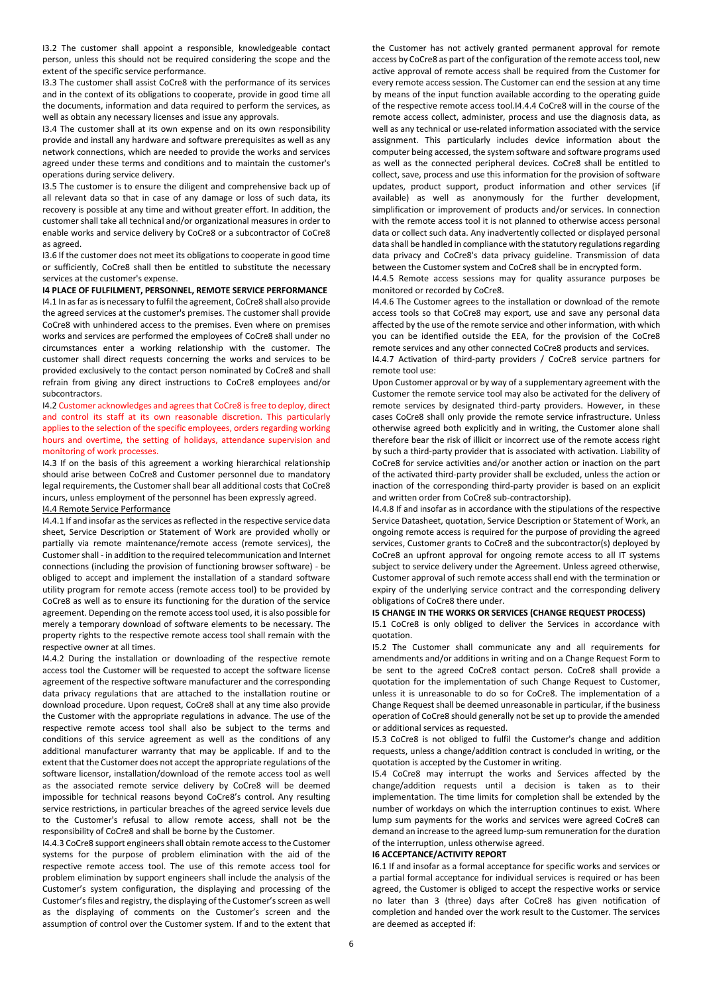I3.2 The customer shall appoint a responsible, knowledgeable contact person, unless this should not be required considering the scope and the extent of the specific service performance.

I3.3 The customer shall assist CoCre8 with the performance of its services and in the context of its obligations to cooperate, provide in good time all the documents, information and data required to perform the services, as well as obtain any necessary licenses and issue any approvals.

I3.4 The customer shall at its own expense and on its own responsibility provide and install any hardware and software prerequisites as well as any network connections, which are needed to provide the works and services agreed under these terms and conditions and to maintain the customer's operations during service delivery.

I3.5 The customer is to ensure the diligent and comprehensive back up of all relevant data so that in case of any damage or loss of such data, its recovery is possible at any time and without greater effort. In addition, the customer shall take all technical and/or organizational measures in order to enable works and service delivery by CoCre8 or a subcontractor of CoCre8 as agreed.

I3.6 If the customer does not meet its obligations to cooperate in good time or sufficiently, CoCre8 shall then be entitled to substitute the necessary services at the customer's expense.

**I4 PLACE OF FULFILMENT, PERSONNEL, REMOTE SERVICE PERFORMANCE** 

I4.1 In as far as is necessary to fulfil the agreement, CoCre8 shall also provide the agreed services at the customer's premises. The customer shall provide CoCre8 with unhindered access to the premises. Even where on premises works and services are performed the employees of CoCre8 shall under no circumstances enter a working relationship with the customer. The customer shall direct requests concerning the works and services to be provided exclusively to the contact person nominated by CoCre8 and shall refrain from giving any direct instructions to CoCre8 employees and/or subcontractors.

I4.2 Customer acknowledges and agrees that CoCre8 is free to deploy, direct and control its staff at its own reasonable discretion. This particularly applies to the selection of the specific employees, orders regarding working hours and overtime, the setting of holidays, attendance supervision and monitoring of work processes.

I4.3 If on the basis of this agreement a working hierarchical relationship should arise between CoCre8 and Customer personnel due to mandatory legal requirements, the Customer shall bear all additional costs that CoCre8 incurs, unless employment of the personnel has been expressly agreed.

# I4.4 Remote Service Performance

I4.4.1 If and insofar as the services as reflected in the respective service data sheet, Service Description or Statement of Work are provided wholly or partially via remote maintenance/remote access (remote services), the Customer shall - in addition to the required telecommunication and Internet connections (including the provision of functioning browser software) - be obliged to accept and implement the installation of a standard software utility program for remote access (remote access tool) to be provided by CoCre8 as well as to ensure its functioning for the duration of the service agreement. Depending on the remote access tool used, it is also possible for merely a temporary download of software elements to be necessary. The property rights to the respective remote access tool shall remain with the respective owner at all times.

I4.4.2 During the installation or downloading of the respective remote access tool the Customer will be requested to accept the software license agreement of the respective software manufacturer and the corresponding data privacy regulations that are attached to the installation routine or download procedure. Upon request, CoCre8 shall at any time also provide the Customer with the appropriate regulations in advance. The use of the respective remote access tool shall also be subject to the terms and conditions of this service agreement as well as the conditions of any additional manufacturer warranty that may be applicable. If and to the extent that the Customer does not accept the appropriate regulations of the software licensor, installation/download of the remote access tool as well as the associated remote service delivery by CoCre8 will be deemed impossible for technical reasons beyond CoCre8's control. Any resulting service restrictions, in particular breaches of the agreed service levels due to the Customer's refusal to allow remote access, shall not be the responsibility of CoCre8 and shall be borne by the Customer.

I4.4.3 CoCre8 support engineers shall obtain remote access to the Customer systems for the purpose of problem elimination with the aid of the respective remote access tool. The use of this remote access tool for problem elimination by support engineers shall include the analysis of the Customer's system configuration, the displaying and processing of the Customer's files and registry, the displaying of the Customer's screen as well as the displaying of comments on the Customer's screen and the assumption of control over the Customer system. If and to the extent that

the Customer has not actively granted permanent approval for remote access by CoCre8 as part of the configuration of the remote access tool, new active approval of remote access shall be required from the Customer for every remote access session. The Customer can end the session at any time by means of the input function available according to the operating guide of the respective remote access tool.I4.4.4 CoCre8 will in the course of the remote access collect, administer, process and use the diagnosis data, as well as any technical or use-related information associated with the service assignment. This particularly includes device information about the computer being accessed, the system software and software programs used as well as the connected peripheral devices. CoCre8 shall be entitled to collect, save, process and use this information for the provision of software updates, product support, product information and other services (if available) as well as anonymously for the further development, simplification or improvement of products and/or services. In connection with the remote access tool it is not planned to otherwise access personal data or collect such data. Any inadvertently collected or displayed personal data shall be handled in compliance with the statutory regulations regarding data privacy and CoCre8's data privacy guideline. Transmission of data between the Customer system and CoCre8 shall be in encrypted form.

I4.4.5 Remote access sessions may for quality assurance purposes be monitored or recorded by CoCre8.

I4.4.6 The Customer agrees to the installation or download of the remote access tools so that CoCre8 may export, use and save any personal data affected by the use of the remote service and other information, with which you can be identified outside the EEA, for the provision of the CoCre8 remote services and any other connected CoCre8 products and services.

I4.4.7 Activation of third-party providers / CoCre8 service partners for remote tool use:

Upon Customer approval or by way of a supplementary agreement with the Customer the remote service tool may also be activated for the delivery of remote services by designated third-party providers. However, in these cases CoCre8 shall only provide the remote service infrastructure. Unless otherwise agreed both explicitly and in writing, the Customer alone shall therefore bear the risk of illicit or incorrect use of the remote access right by such a third-party provider that is associated with activation. Liability of CoCre8 for service activities and/or another action or inaction on the part of the activated third-party provider shall be excluded, unless the action or inaction of the corresponding third-party provider is based on an explicit and written order from CoCre8 sub-contractorship).

I4.4.8 If and insofar as in accordance with the stipulations of the respective Service Datasheet, quotation, Service Description or Statement of Work, an ongoing remote access is required for the purpose of providing the agreed services, Customer grants to CoCre8 and the subcontractor(s) deployed by CoCre8 an upfront approval for ongoing remote access to all IT systems subject to service delivery under the Agreement. Unless agreed otherwise, Customer approval of such remote access shall end with the termination or expiry of the underlying service contract and the corresponding delivery obligations of CoCre8 there under.

# **I5 CHANGE IN THE WORKS OR SERVICES (CHANGE REQUEST PROCESS)**

I5.1 CoCre8 is only obliged to deliver the Services in accordance with quotation.

I5.2 The Customer shall communicate any and all requirements for amendments and/or additions in writing and on a Change Request Form to be sent to the agreed CoCre8 contact person. CoCre8 shall provide a quotation for the implementation of such Change Request to Customer, unless it is unreasonable to do so for CoCre8. The implementation of a Change Request shall be deemed unreasonable in particular, if the business operation of CoCre8 should generally not be set up to provide the amended or additional services as requested.

I5.3 CoCre8 is not obliged to fulfil the Customer's change and addition requests, unless a change/addition contract is concluded in writing, or the quotation is accepted by the Customer in writing.

I5.4 CoCre8 may interrupt the works and Services affected by the change/addition requests until a decision is taken as to their implementation. The time limits for completion shall be extended by the number of workdays on which the interruption continues to exist. Where lump sum payments for the works and services were agreed CoCre8 can demand an increase to the agreed lump-sum remuneration for the duration of the interruption, unless otherwise agreed.

# **I6 ACCEPTANCE/ACTIVITY REPORT**

I6.1 If and insofar as a formal acceptance for specific works and services or a partial formal acceptance for individual services is required or has been agreed, the Customer is obliged to accept the respective works or service no later than 3 (three) days after CoCre8 has given notification of completion and handed over the work result to the Customer. The services are deemed as accepted if: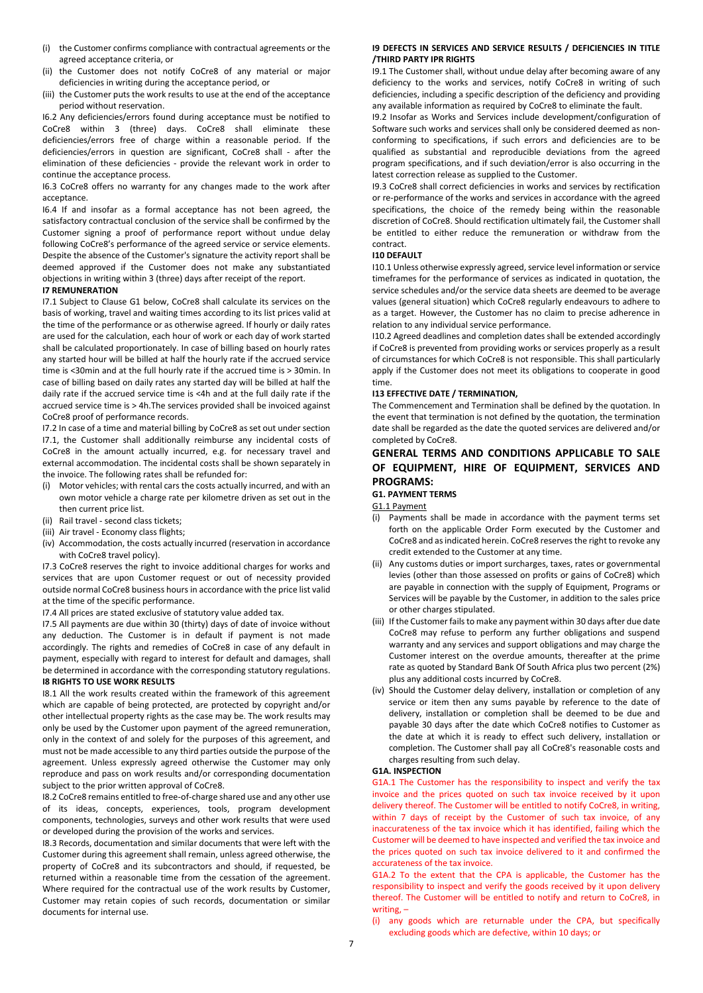- (i) the Customer confirms compliance with contractual agreements or the agreed acceptance criteria, or
- (ii) the Customer does not notify CoCre8 of any material or major deficiencies in writing during the acceptance period, or
- (iii) the Customer puts the work results to use at the end of the acceptance period without reservation.

I6.2 Any deficiencies/errors found during acceptance must be notified to CoCre8 within 3 (three) days. CoCre8 shall eliminate these deficiencies/errors free of charge within a reasonable period. If the deficiencies/errors in question are significant, CoCre8 shall - after the elimination of these deficiencies - provide the relevant work in order to continue the acceptance process.

I6.3 CoCre8 offers no warranty for any changes made to the work after acceptance.

I6.4 If and insofar as a formal acceptance has not been agreed, the satisfactory contractual conclusion of the service shall be confirmed by the Customer signing a proof of performance report without undue delay following CoCre8's performance of the agreed service or service elements. Despite the absence of the Customer's signature the activity report shall be deemed approved if the Customer does not make any substantiated objections in writing within 3 (three) days after receipt of the report.

# **I7 REMUNERATION**

I7.1 Subject to Clause G1 below, CoCre8 shall calculate its services on the basis of working, travel and waiting times according to its list prices valid at the time of the performance or as otherwise agreed. If hourly or daily rates are used for the calculation, each hour of work or each day of work started shall be calculated proportionately. In case of billing based on hourly rates any started hour will be billed at half the hourly rate if the accrued service time is <30min and at the full hourly rate if the accrued time is > 30min. In case of billing based on daily rates any started day will be billed at half the daily rate if the accrued service time is <4h and at the full daily rate if the accrued service time is > 4h.The services provided shall be invoiced against CoCre8 proof of performance records.

I7.2 In case of a time and material billing by CoCre8 as set out under section I7.1, the Customer shall additionally reimburse any incidental costs of CoCre8 in the amount actually incurred, e.g. for necessary travel and external accommodation. The incidental costs shall be shown separately in the invoice. The following rates shall be refunded for:

- (i) Motor vehicles; with rental cars the costs actually incurred, and with an own motor vehicle a charge rate per kilometre driven as set out in the then current price list.
- (ii) Rail travel second class tickets;
- (iii) Air travel Economy class flights;
- (iv) Accommodation, the costs actually incurred (reservation in accordance with CoCre8 travel policy).

I7.3 CoCre8 reserves the right to invoice additional charges for works and services that are upon Customer request or out of necessity provided outside normal CoCre8 business hours in accordance with the price list valid at the time of the specific performance.

I7.4 All prices are stated exclusive of statutory value added tax.

I7.5 All payments are due within 30 (thirty) days of date of invoice without any deduction. The Customer is in default if payment is not made accordingly. The rights and remedies of CoCre8 in case of any default in payment, especially with regard to interest for default and damages, shall be determined in accordance with the corresponding statutory regulations. **I8 RIGHTS TO USE WORK RESULTS** 

I8.1 All the work results created within the framework of this agreement which are capable of being protected, are protected by copyright and/or other intellectual property rights as the case may be. The work results may only be used by the Customer upon payment of the agreed remuneration, only in the context of and solely for the purposes of this agreement, and must not be made accessible to any third parties outside the purpose of the agreement. Unless expressly agreed otherwise the Customer may only reproduce and pass on work results and/or corresponding documentation subject to the prior written approval of CoCre8.

I8.2 CoCre8 remains entitled to free-of-charge shared use and any other use of its ideas, concepts, experiences, tools, program development components, technologies, surveys and other work results that were used or developed during the provision of the works and services.

I8.3 Records, documentation and similar documents that were left with the Customer during this agreement shall remain, unless agreed otherwise, the property of CoCre8 and its subcontractors and should, if requested, be returned within a reasonable time from the cessation of the agreement. Where required for the contractual use of the work results by Customer, Customer may retain copies of such records, documentation or similar documents for internal use.

#### **I9 DEFECTS IN SERVICES AND SERVICE RESULTS / DEFICIENCIES IN TITLE /THIRD PARTY IPR RIGHTS**

I9.1 The Customer shall, without undue delay after becoming aware of any deficiency to the works and services, notify CoCre8 in writing of such deficiencies, including a specific description of the deficiency and providing any available information as required by CoCre8 to eliminate the fault.

I9.2 Insofar as Works and Services include development/configuration of Software such works and services shall only be considered deemed as nonconforming to specifications, if such errors and deficiencies are to be qualified as substantial and reproducible deviations from the agreed program specifications, and if such deviation/error is also occurring in the latest correction release as supplied to the Customer.

I9.3 CoCre8 shall correct deficiencies in works and services by rectification or re-performance of the works and services in accordance with the agreed specifications, the choice of the remedy being within the reasonable discretion of CoCre8. Should rectification ultimately fail, the Customer shall be entitled to either reduce the remuneration or withdraw from the contract.

#### **I10 DEFAULT**

I10.1 Unless otherwise expressly agreed, service level information or service timeframes for the performance of services as indicated in quotation, the service schedules and/or the service data sheets are deemed to be average values (general situation) which CoCre8 regularly endeavours to adhere to as a target. However, the Customer has no claim to precise adherence in relation to any individual service performance.

I10.2 Agreed deadlines and completion dates shall be extended accordingly if CoCre8 is prevented from providing works or services properly as a result of circumstances for which CoCre8 is not responsible. This shall particularly apply if the Customer does not meet its obligations to cooperate in good time.

#### **I13 EFFECTIVE DATE / TERMINATION,**

The Commencement and Termination shall be defined by the quotation. In the event that termination is not defined by the quotation, the termination date shall be regarded as the date the quoted services are delivered and/or completed by CoCre8.

# **GENERAL TERMS AND CONDITIONS APPLICABLE TO SALE OF EQUIPMENT, HIRE OF EQUIPMENT, SERVICES AND PROGRAMS:**

#### **G1. PAYMENT TERMS**

G1.1 Payment

- (i) Payments shall be made in accordance with the payment terms set forth on the applicable Order Form executed by the Customer and CoCre8 and as indicated herein. CoCre8 reserves the right to revoke any credit extended to the Customer at any time.
- (ii) Any customs duties or import surcharges, taxes, rates or governmental levies (other than those assessed on profits or gains of CoCre8) which are payable in connection with the supply of Equipment, Programs or Services will be payable by the Customer, in addition to the sales price or other charges stipulated.
- (iii) If the Customer fails to make any payment within 30 days after due date CoCre8 may refuse to perform any further obligations and suspend warranty and any services and support obligations and may charge the Customer interest on the overdue amounts, thereafter at the prime rate as quoted by Standard Bank Of South Africa plus two percent (2%) plus any additional costs incurred by CoCre8.
- (iv) Should the Customer delay delivery, installation or completion of any service or item then any sums payable by reference to the date of delivery, installation or completion shall be deemed to be due and payable 30 days after the date which CoCre8 notifies to Customer as the date at which it is ready to effect such delivery, installation or completion. The Customer shall pay all CoCre8's reasonable costs and charges resulting from such delay.

#### **G1A. INSPECTION**

G1A.1 The Customer has the responsibility to inspect and verify the tax invoice and the prices quoted on such tax invoice received by it upon delivery thereof. The Customer will be entitled to notify CoCre8, in writing, within 7 days of receipt by the Customer of such tax invoice, of any inaccurateness of the tax invoice which it has identified, failing which the Customer will be deemed to have inspected and verified the tax invoice and the prices quoted on such tax invoice delivered to it and confirmed the accurateness of the tax invoice.

G1A.2 To the extent that the CPA is applicable, the Customer has the responsibility to inspect and verify the goods received by it upon delivery thereof. The Customer will be entitled to notify and return to CoCre8, in writing, –

<span id="page-6-0"></span>(i) any goods which are returnable under the CPA, but specifically excluding goods which are defective, within 10 days; or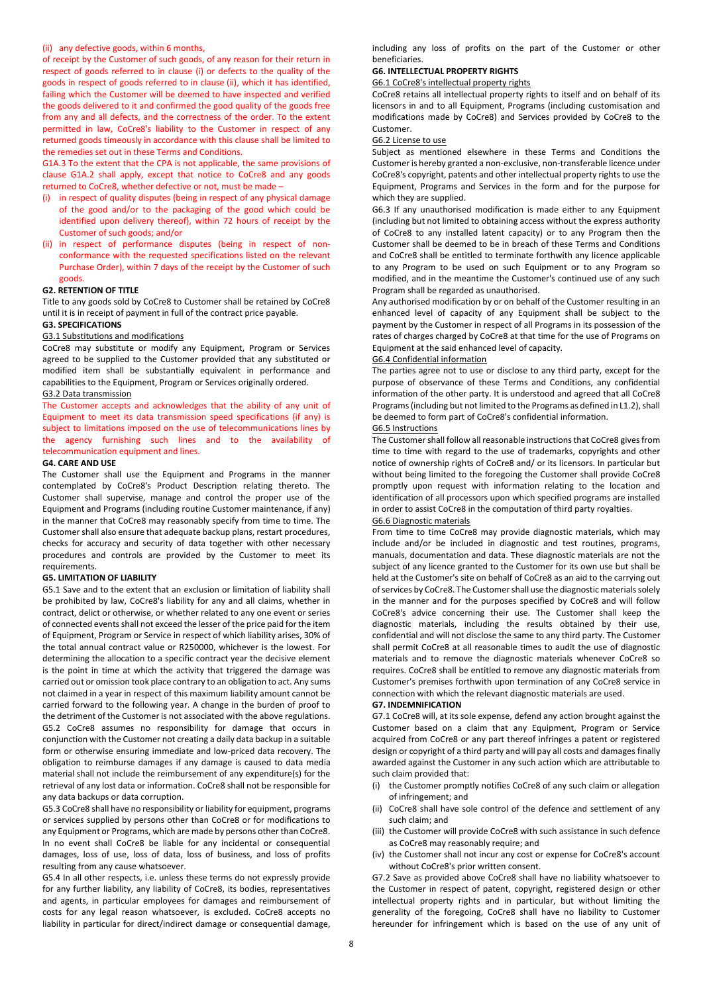#### <span id="page-7-0"></span>(ii) any defective goods, within 6 months,

of receipt by the Customer of such goods, of any reason for their return in respect of goods referred to in clause [\(i\)](#page-6-0) or defects to the quality of the goods in respect of goods referred to in clause [\(ii\),](#page-7-0) which it has identified, failing which the Customer will be deemed to have inspected and verified the goods delivered to it and confirmed the good quality of the goods free from any and all defects, and the correctness of the order. To the extent permitted in law, CoCre8's liability to the Customer in respect of any returned goods timeously in accordance with this clause shall be limited to the remedies set out in these Terms and Conditions.

G1A.3 To the extent that the CPA is not applicable, the same provisions of clause G1A.2 shall apply, except that notice to CoCre8 and any goods returned to CoCre8, whether defective or not, must be made –

- (i) in respect of quality disputes (being in respect of any physical damage of the good and/or to the packaging of the good which could be identified upon delivery thereof), within 72 hours of receipt by the Customer of such goods; and/or
- (ii) in respect of performance disputes (being in respect of nonconformance with the requested specifications listed on the relevant Purchase Order), within 7 days of the receipt by the Customer of such goods.

#### **G2. RETENTION OF TITLE**

Title to any goods sold by CoCre8 to Customer shall be retained by CoCre8 until it is in receipt of payment in full of the contract price payable.

# **G3. SPECIFICATIONS**

#### G3.1 Substitutions and modifications

CoCre8 may substitute or modify any Equipment, Program or Services agreed to be supplied to the Customer provided that any substituted or modified item shall be substantially equivalent in performance and capabilities to the Equipment, Program or Services originally ordered. G3.2 Data transmission

The Customer accepts and acknowledges that the ability of any unit of Equipment to meet its data transmission speed specifications (if any) is subject to limitations imposed on the use of telecommunications lines by the agency furnishing such lines and to the availability of telecommunication equipment and lines.

#### **G4. CARE AND USE**

The Customer shall use the Equipment and Programs in the manner contemplated by CoCre8's Product Description relating thereto. The Customer shall supervise, manage and control the proper use of the Equipment and Programs (including routine Customer maintenance, if any) in the manner that CoCre8 may reasonably specify from time to time. The Customer shall also ensure that adequate backup plans, restart procedures, checks for accuracy and security of data together with other necessary procedures and controls are provided by the Customer to meet its requirements.

#### **G5. LIMITATION OF LIABILITY**

G5.1 Save and to the extent that an exclusion or limitation of liability shall be prohibited by law, CoCre8's liability for any and all claims, whether in contract, delict or otherwise, or whether related to any one event or series of connected events shall not exceed the lesser of the price paid for the item of Equipment, Program or Service in respect of which liability arises, 30% of the total annual contract value or R250000, whichever is the lowest. For determining the allocation to a specific contract year the decisive element is the point in time at which the activity that triggered the damage was carried out or omission took place contrary to an obligation to act. Any sums not claimed in a year in respect of this maximum liability amount cannot be carried forward to the following year. A change in the burden of proof to the detriment of the Customer is not associated with the above regulations. G5.2 CoCre8 assumes no responsibility for damage that occurs in conjunction with the Customer not creating a daily data backup in a suitable form or otherwise ensuring immediate and low-priced data recovery. The obligation to reimburse damages if any damage is caused to data media material shall not include the reimbursement of any expenditure(s) for the retrieval of any lost data or information. CoCre8 shall not be responsible for any data backups or data corruption.

G5.3 CoCre8 shall have no responsibility or liability for equipment, programs or services supplied by persons other than CoCre8 or for modifications to any Equipment or Programs, which are made by persons other than CoCre8. In no event shall CoCre8 be liable for any incidental or consequential damages, loss of use, loss of data, loss of business, and loss of profits resulting from any cause whatsoever.

G5.4 In all other respects, i.e. unless these terms do not expressly provide for any further liability, any liability of CoCre8, its bodies, representatives and agents, in particular employees for damages and reimbursement of costs for any legal reason whatsoever, is excluded. CoCre8 accepts no liability in particular for direct/indirect damage or consequential damage,

including any loss of profits on the part of the Customer or other beneficiaries.

## **G6. INTELLECTUAL PROPERTY RIGHTS**

# G6.1 CoCre8's intellectual property rights

CoCre8 retains all intellectual property rights to itself and on behalf of its licensors in and to all Equipment, Programs (including customisation and modifications made by CoCre8) and Services provided by CoCre8 to the Customer.

# G6.2 License to use

Subject as mentioned elsewhere in these Terms and Conditions the Customer is hereby granted a non-exclusive, non-transferable licence under CoCre8's copyright, patents and other intellectual property rights to use the Equipment, Programs and Services in the form and for the purpose for which they are supplied.

G6.3 If any unauthorised modification is made either to any Equipment (including but not limited to obtaining access without the express authority of CoCre8 to any installed latent capacity) or to any Program then the Customer shall be deemed to be in breach of these Terms and Conditions and CoCre8 shall be entitled to terminate forthwith any licence applicable to any Program to be used on such Equipment or to any Program so modified, and in the meantime the Customer's continued use of any such Program shall be regarded as unauthorised.

Any authorised modification by or on behalf of the Customer resulting in an enhanced level of capacity of any Equipment shall be subject to the payment by the Customer in respect of all Programs in its possession of the rates of charges charged by CoCre8 at that time for the use of Programs on Equipment at the said enhanced level of capacity.

# G6.4 Confidential information

The parties agree not to use or disclose to any third party, except for the purpose of observance of these Terms and Conditions, any confidential information of the other party. It is understood and agreed that all CoCre8 Programs (including but not limited to the Programs as defined in L1.2), shall be deemed to form part of CoCre8's confidential information.

#### G6.5 Instructions

The Customer shall follow all reasonable instructions that CoCre8 gives from time to time with regard to the use of trademarks, copyrights and other notice of ownership rights of CoCre8 and/ or its licensors. In particular but without being limited to the foregoing the Customer shall provide CoCre8 promptly upon request with information relating to the location and identification of all processors upon which specified programs are installed in order to assist CoCre8 in the computation of third party royalties.

#### G6.6 Diagnostic materials

From time to time CoCre8 may provide diagnostic materials, which may include and/or be included in diagnostic and test routines, programs, manuals, documentation and data. These diagnostic materials are not the subject of any licence granted to the Customer for its own use but shall be held at the Customer's site on behalf of CoCre8 as an aid to the carrying out of services by CoCre8. The Customer shall use the diagnostic materials solely in the manner and for the purposes specified by CoCre8 and will follow CoCre8's advice concerning their use. The Customer shall keep the diagnostic materials, including the results obtained by their use, confidential and will not disclose the same to any third party. The Customer shall permit CoCre8 at all reasonable times to audit the use of diagnostic materials and to remove the diagnostic materials whenever CoCre8 so requires. CoCre8 shall be entitled to remove any diagnostic materials from Customer's premises forthwith upon termination of any CoCre8 service in connection with which the relevant diagnostic materials are used.

#### **G7. INDEMNIFICATION**

G7.1 CoCre8 will, at its sole expense, defend any action brought against the Customer based on a claim that any Equipment, Program or Service acquired from CoCre8 or any part thereof infringes a patent or registered design or copyright of a third party and will pay all costs and damages finally awarded against the Customer in any such action which are attributable to such claim provided that:

- (i) the Customer promptly notifies CoCre8 of any such claim or allegation of infringement; and
- (ii) CoCre8 shall have sole control of the defence and settlement of any such claim; and
- (iii) the Customer will provide CoCre8 with such assistance in such defence as CoCre8 may reasonably require; and
- (iv) the Customer shall not incur any cost or expense for CoCre8's account without CoCre8's prior written consent.

G7.2 Save as provided above CoCre8 shall have no liability whatsoever to the Customer in respect of patent, copyright, registered design or other intellectual property rights and in particular, but without limiting the generality of the foregoing, CoCre8 shall have no liability to Customer hereunder for infringement which is based on the use of any unit of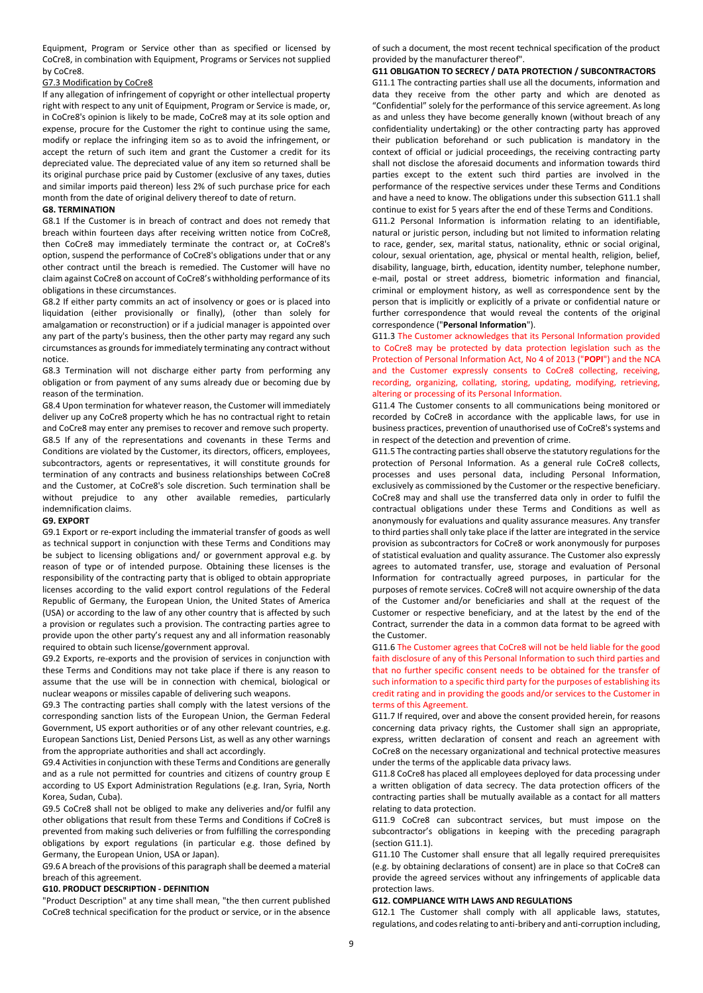Equipment, Program or Service other than as specified or licensed by CoCre8, in combination with Equipment, Programs or Services not supplied by CoCre8.

## G7.3 Modification by CoCre8

If any allegation of infringement of copyright or other intellectual property right with respect to any unit of Equipment, Program or Service is made, or, in CoCre8's opinion is likely to be made, CoCre8 may at its sole option and expense, procure for the Customer the right to continue using the same, modify or replace the infringing item so as to avoid the infringement, or accept the return of such item and grant the Customer a credit for its depreciated value. The depreciated value of any item so returned shall be its original purchase price paid by Customer (exclusive of any taxes, duties and similar imports paid thereon) less 2% of such purchase price for each month from the date of original delivery thereof to date of return.

#### **G8. TERMINATION**

G8.1 If the Customer is in breach of contract and does not remedy that breach within fourteen days after receiving written notice from CoCre8, then CoCre8 may immediately terminate the contract or, at CoCre8's option, suspend the performance of CoCre8's obligations under that or any other contract until the breach is remedied. The Customer will have no claim against CoCre8 on account of CoCre8's withholding performance of its obligations in these circumstances.

G8.2 If either party commits an act of insolvency or goes or is placed into liquidation (either provisionally or finally), (other than solely for amalgamation or reconstruction) or if a judicial manager is appointed over any part of the party's business, then the other party may regard any such circumstances as grounds for immediately terminating any contract without notice.

G8.3 Termination will not discharge either party from performing any obligation or from payment of any sums already due or becoming due by reason of the termination.

G8.4 Upon termination for whatever reason, the Customer will immediately deliver up any CoCre8 property which he has no contractual right to retain and CoCre8 may enter any premises to recover and remove such property. G8.5 If any of the representations and covenants in these Terms and Conditions are violated by the Customer, its directors, officers, employees, subcontractors, agents or representatives, it will constitute grounds for termination of any contracts and business relationships between CoCre8 and the Customer, at CoCre8's sole discretion. Such termination shall be without prejudice to any other available remedies, particularly indemnification claims.

#### **G9. EXPORT**

G9.1 Export or re-export including the immaterial transfer of goods as well as technical support in conjunction with these Terms and Conditions may be subject to licensing obligations and/ or government approval e.g. by reason of type or of intended purpose. Obtaining these licenses is the responsibility of the contracting party that is obliged to obtain appropriate licenses according to the valid export control regulations of the Federal Republic of Germany, the European Union, the United States of America (USA) or according to the law of any other country that is affected by such a provision or regulates such a provision. The contracting parties agree to provide upon the other party's request any and all information reasonably required to obtain such license/government approval.

G9.2 Exports, re-exports and the provision of services in conjunction with these Terms and Conditions may not take place if there is any reason to assume that the use will be in connection with chemical, biological or nuclear weapons or missiles capable of delivering such weapons.

G9.3 The contracting parties shall comply with the latest versions of the corresponding sanction lists of the European Union, the German Federal Government, US export authorities or of any other relevant countries, e.g. European Sanctions List, Denied Persons List, as well as any other warnings from the appropriate authorities and shall act accordingly.

G9.4 Activities in conjunction with these Terms and Conditions are generally and as a rule not permitted for countries and citizens of country group E according to US Export Administration Regulations (e.g. Iran, Syria, North Korea, Sudan, Cuba).

G9.5 CoCre8 shall not be obliged to make any deliveries and/or fulfil any other obligations that result from these Terms and Conditions if CoCre8 is prevented from making such deliveries or from fulfilling the corresponding obligations by export regulations (in particular e.g. those defined by Germany, the European Union, USA or Japan).

G9.6 A breach of the provisions of this paragraph shall be deemed a material breach of this agreement.

# **G10. PRODUCT DESCRIPTION - DEFINITION**

"Product Description" at any time shall mean, "the then current published CoCre8 technical specification for the product or service, or in the absence

of such a document, the most recent technical specification of the product provided by the manufacturer thereof".

#### **G11 OBLIGATION TO SECRECY / DATA PROTECTION / SUBCONTRACTORS**

G11.1 The contracting parties shall use all the documents, information and data they receive from the other party and which are denoted as "Confidential" solely for the performance of this service agreement. As long as and unless they have become generally known (without breach of any confidentiality undertaking) or the other contracting party has approved their publication beforehand or such publication is mandatory in the context of official or judicial proceedings, the receiving contracting party shall not disclose the aforesaid documents and information towards third parties except to the extent such third parties are involved in the performance of the respective services under these Terms and Conditions and have a need to know. The obligations under this subsection G11.1 shall continue to exist for 5 years after the end of these Terms and Conditions.

G11.2 Personal Information is information relating to an identifiable, natural or juristic person, including but not limited to information relating to race, gender, sex, marital status, nationality, ethnic or social original, colour, sexual orientation, age, physical or mental health, religion, belief, disability, language, birth, education, identity number, telephone number, e-mail, postal or street address, biometric information and financial, criminal or employment history, as well as correspondence sent by the person that is implicitly or explicitly of a private or confidential nature or further correspondence that would reveal the contents of the original correspondence ("**Personal Information**").

G11.3 The Customer acknowledges that its Personal Information provided to CoCre8 may be protected by data protection legislation such as the Protection of Personal Information Act, No 4 of 2013 ("**POPI**") and the NCA and the Customer expressly consents to CoCre8 collecting, receiving, recording, organizing, collating, storing, updating, modifying, retrieving, altering or processing of its Personal Information.

G11.4 The Customer consents to all communications being monitored or recorded by CoCre8 in accordance with the applicable laws, for use in business practices, prevention of unauthorised use of CoCre8's systems and in respect of the detection and prevention of crime.

G11.5 The contracting parties shall observe the statutory regulations for the protection of Personal Information. As a general rule CoCre8 collects, processes and uses personal data, including Personal Information, exclusively as commissioned by the Customer or the respective beneficiary. CoCre8 may and shall use the transferred data only in order to fulfil the contractual obligations under these Terms and Conditions as well as anonymously for evaluations and quality assurance measures. Any transfer to third parties shall only take place if the latter are integrated in the service provision as subcontractors for CoCre8 or work anonymously for purposes of statistical evaluation and quality assurance. The Customer also expressly agrees to automated transfer, use, storage and evaluation of Personal Information for contractually agreed purposes, in particular for the purposes of remote services. CoCre8 will not acquire ownership of the data of the Customer and/or beneficiaries and shall at the request of the Customer or respective beneficiary, and at the latest by the end of the Contract, surrender the data in a common data format to be agreed with the Customer.

G11.6 The Customer agrees that CoCre8 will not be held liable for the good faith disclosure of any of this Personal Information to such third parties and that no further specific consent needs to be obtained for the transfer of such information to a specific third party for the purposes of establishing its credit rating and in providing the goods and/or services to the Customer in terms of this Agreement.

G11.7 If required, over and above the consent provided herein, for reasons concerning data privacy rights, the Customer shall sign an appropriate, express, written declaration of consent and reach an agreement with CoCre8 on the necessary organizational and technical protective measures under the terms of the applicable data privacy laws.

G11.8 CoCre8 has placed all employees deployed for data processing under a written obligation of data secrecy. The data protection officers of the contracting parties shall be mutually available as a contact for all matters relating to data protection.

G11.9 CoCre8 can subcontract services, but must impose on the subcontractor's obligations in keeping with the preceding paragraph (section G11.1).

G11.10 The Customer shall ensure that all legally required prerequisites (e.g. by obtaining declarations of consent) are in place so that CoCre8 can provide the agreed services without any infringements of applicable data protection laws.

#### **G12. COMPLIANCE WITH LAWS AND REGULATIONS**

G12.1 The Customer shall comply with all applicable laws, statutes, regulations, and codes relating to anti-bribery and anti-corruption including,